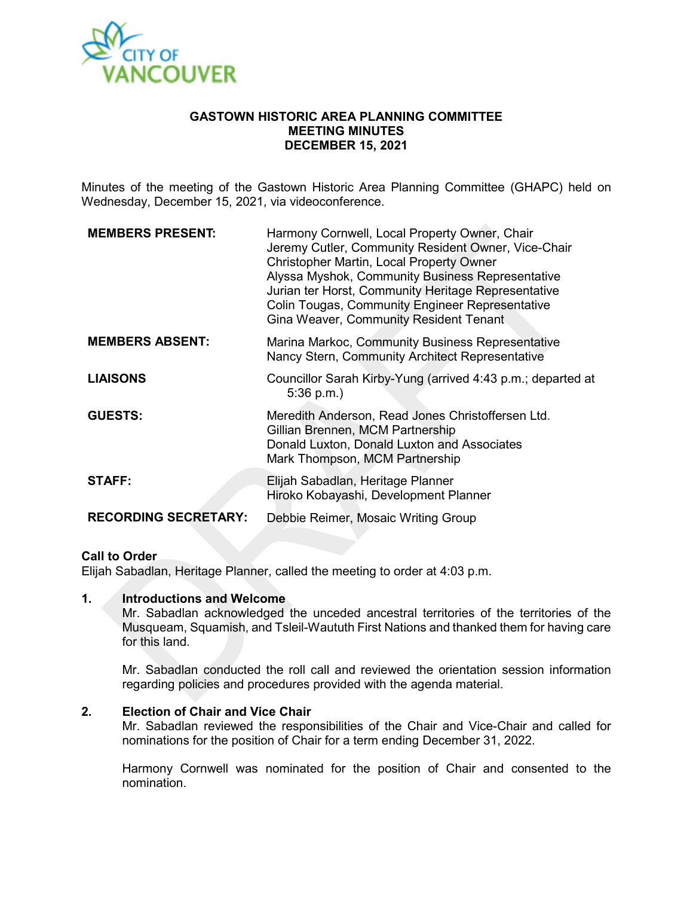

### **GASTOWN HISTORIC AREA PLANNING COMMITTEE MEETING MINUTES DECEMBER 15, 2021**

Minutes of the meeting of the Gastown Historic Area Planning Committee (GHAPC) held on Wednesday, December 15, 2021, via videoconference.

| <b>MEMBERS PRESENT:</b>     | Harmony Cornwell, Local Property Owner, Chair<br>Jeremy Cutler, Community Resident Owner, Vice-Chair<br>Christopher Martin, Local Property Owner<br>Alyssa Myshok, Community Business Representative<br>Jurian ter Horst, Community Heritage Representative<br><b>Colin Tougas, Community Engineer Representative</b><br>Gina Weaver, Community Resident Tenant |
|-----------------------------|-----------------------------------------------------------------------------------------------------------------------------------------------------------------------------------------------------------------------------------------------------------------------------------------------------------------------------------------------------------------|
| <b>MEMBERS ABSENT:</b>      | Marina Markoc, Community Business Representative<br>Nancy Stern, Community Architect Representative                                                                                                                                                                                                                                                             |
| <b>LIAISONS</b>             | Councillor Sarah Kirby-Yung (arrived 4:43 p.m.; departed at<br>$5:36$ p.m.)                                                                                                                                                                                                                                                                                     |
| <b>GUESTS:</b>              | Meredith Anderson, Read Jones Christoffersen Ltd.<br>Gillian Brennen, MCM Partnership<br>Donald Luxton, Donald Luxton and Associates<br>Mark Thompson, MCM Partnership                                                                                                                                                                                          |
| <b>STAFF:</b>               | Elijah Sabadlan, Heritage Planner<br>Hiroko Kobayashi, Development Planner                                                                                                                                                                                                                                                                                      |
| <b>RECORDING SECRETARY:</b> | Debbie Reimer, Mosaic Writing Group                                                                                                                                                                                                                                                                                                                             |

### **Call to Order**

Elijah Sabadlan, Heritage Planner, called the meeting to order at 4:03 p.m.

### **1. Introductions and Welcome**

Mr. Sabadlan acknowledged the unceded ancestral territories of the territories of the Musqueam, Squamish, and Tsleil-Waututh First Nations and thanked them for having care for this land.

Mr. Sabadlan conducted the roll call and reviewed the orientation session information regarding policies and procedures provided with the agenda material.

### **2. Election of Chair and Vice Chair**

Mr. Sabadlan reviewed the responsibilities of the Chair and Vice-Chair and called for nominations for the position of Chair for a term ending December 31, 2022.

Harmony Cornwell was nominated for the position of Chair and consented to the nomination.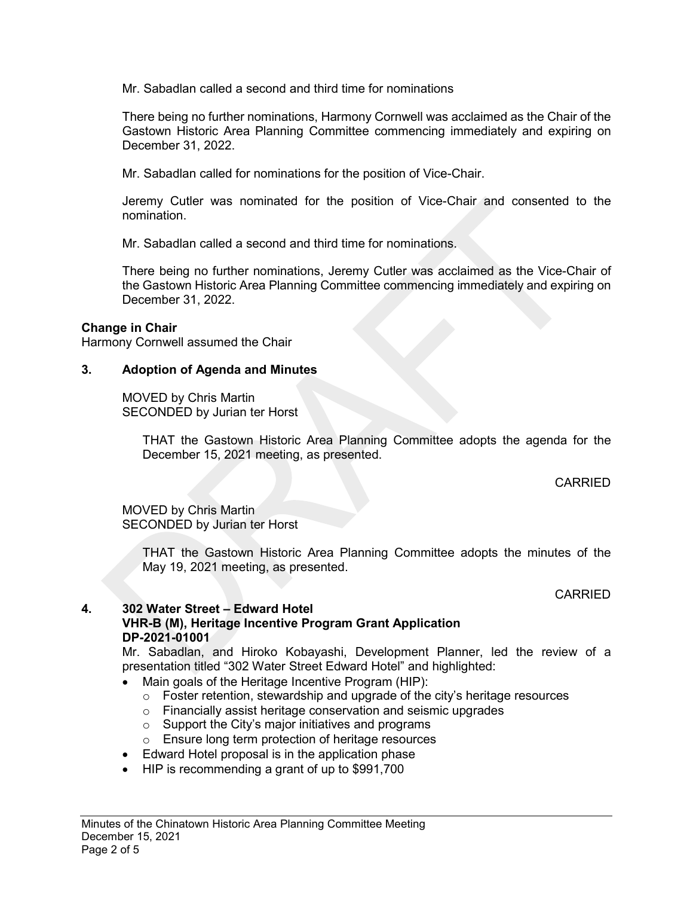Mr. Sabadlan called a second and third time for nominations

There being no further nominations, Harmony Cornwell was acclaimed as the Chair of the Gastown Historic Area Planning Committee commencing immediately and expiring on December 31, 2022.

Mr. Sabadlan called for nominations for the position of Vice-Chair.

Jeremy Cutler was nominated for the position of Vice-Chair and consented to the nomination.

Mr. Sabadlan called a second and third time for nominations.

There being no further nominations, Jeremy Cutler was acclaimed as the Vice-Chair of the Gastown Historic Area Planning Committee commencing immediately and expiring on December 31, 2022.

### **Change in Chair**

Harmony Cornwell assumed the Chair

### **3. Adoption of Agenda and Minutes**

MOVED by Chris Martin SECONDED by Jurian ter Horst

> THAT the Gastown Historic Area Planning Committee adopts the agenda for the December 15, 2021 meeting, as presented.

> > CARRIED

MOVED by Chris Martin SECONDED by Jurian ter Horst

> THAT the Gastown Historic Area Planning Committee adopts the minutes of the May 19, 2021 meeting, as presented.

> > CARRIED

### **4. 302 Water Street – Edward Hotel**

**VHR-B (M), Heritage Incentive Program Grant Application DP-2021-01001**

Mr. Sabadlan, and Hiroko Kobayashi, Development Planner, led the review of a presentation titled "302 Water Street Edward Hotel" and highlighted:

- Main goals of the Heritage Incentive Program (HIP):
	- $\circ$  Foster retention, stewardship and upgrade of the city's heritage resources
	- o Financially assist heritage conservation and seismic upgrades
	- $\circ$  Support the City's major initiatives and programs
	- o Ensure long term protection of heritage resources
- Edward Hotel proposal is in the application phase
- HIP is recommending a grant of up to \$991,700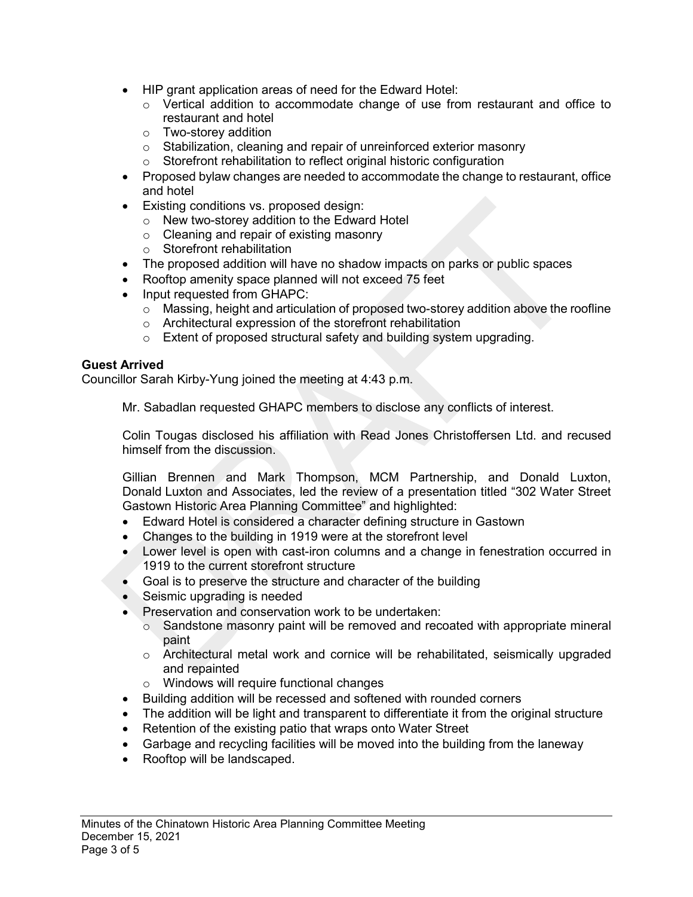- HIP grant application areas of need for the Edward Hotel:
	- $\circ$  Vertical addition to accommodate change of use from restaurant and office to restaurant and hotel
	- o Two-storey addition
	- o Stabilization, cleaning and repair of unreinforced exterior masonry
	- o Storefront rehabilitation to reflect original historic configuration
- Proposed bylaw changes are needed to accommodate the change to restaurant, office and hotel
- Existing conditions vs. proposed design:
	- o New two-storey addition to the Edward Hotel
		- o Cleaning and repair of existing masonry
		- o Storefront rehabilitation
- The proposed addition will have no shadow impacts on parks or public spaces
- Rooftop amenity space planned will not exceed 75 feet
- Input requested from GHAPC:
	- $\circ$  Massing, height and articulation of proposed two-storey addition above the roofline
	- o Architectural expression of the storefront rehabilitation
	- o Extent of proposed structural safety and building system upgrading.

### **Guest Arrived**

Councillor Sarah Kirby-Yung joined the meeting at 4:43 p.m.

Mr. Sabadlan requested GHAPC members to disclose any conflicts of interest.

Colin Tougas disclosed his affiliation with Read Jones Christoffersen Ltd. and recused himself from the discussion.

Gillian Brennen and Mark Thompson, MCM Partnership, and Donald Luxton, Donald Luxton and Associates, led the review of a presentation titled "302 Water Street Gastown Historic Area Planning Committee" and highlighted:

- Edward Hotel is considered a character defining structure in Gastown
- Changes to the building in 1919 were at the storefront level
- Lower level is open with cast-iron columns and a change in fenestration occurred in 1919 to the current storefront structure
- Goal is to preserve the structure and character of the building
- Seismic upgrading is needed
- Preservation and conservation work to be undertaken:
	- $\circ$  Sandstone masonry paint will be removed and recoated with appropriate mineral paint
	- $\circ$  Architectural metal work and cornice will be rehabilitated, seismically upgraded and repainted
	- o Windows will require functional changes
- Building addition will be recessed and softened with rounded corners
- The addition will be light and transparent to differentiate it from the original structure
- Retention of the existing patio that wraps onto Water Street
- Garbage and recycling facilities will be moved into the building from the laneway
- Rooftop will be landscaped.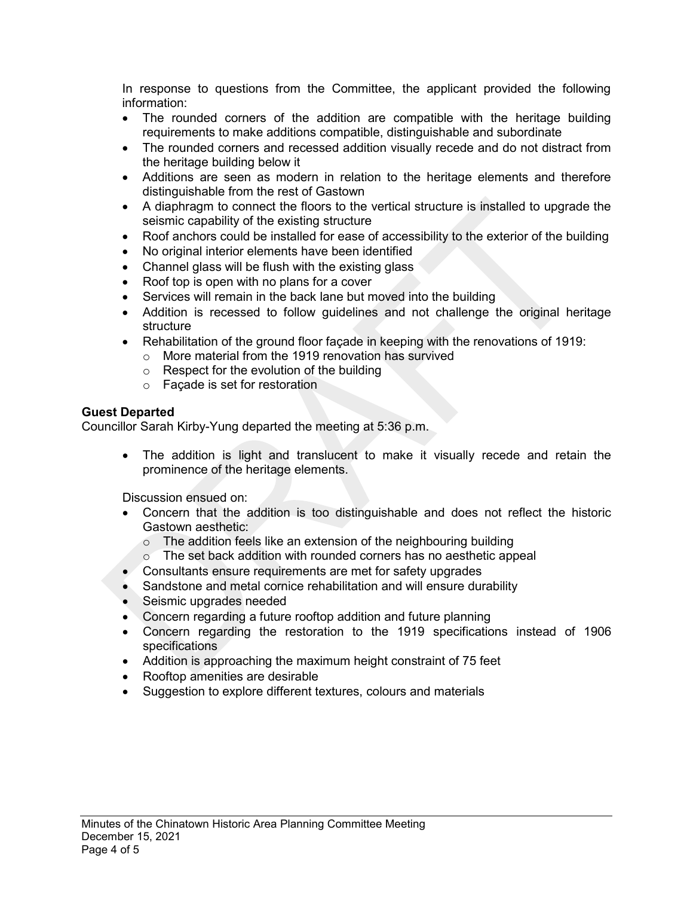In response to questions from the Committee, the applicant provided the following information:

- The rounded corners of the addition are compatible with the heritage building requirements to make additions compatible, distinguishable and subordinate
- The rounded corners and recessed addition visually recede and do not distract from the heritage building below it
- Additions are seen as modern in relation to the heritage elements and therefore distinguishable from the rest of Gastown
- A diaphragm to connect the floors to the vertical structure is installed to upgrade the seismic capability of the existing structure
- Roof anchors could be installed for ease of accessibility to the exterior of the building
- No original interior elements have been identified
- Channel glass will be flush with the existing glass
- Roof top is open with no plans for a cover
- Services will remain in the back lane but moved into the building
- Addition is recessed to follow guidelines and not challenge the original heritage structure
- Rehabilitation of the ground floor façade in keeping with the renovations of 1919:
	- o More material from the 1919 renovation has survived
	- o Respect for the evolution of the building
	- o Façade is set for restoration

## **Guest Departed**

Councillor Sarah Kirby-Yung departed the meeting at 5:36 p.m.

• The addition is light and translucent to make it visually recede and retain the prominence of the heritage elements.

Discussion ensued on:

- Concern that the addition is too distinguishable and does not reflect the historic Gastown aesthetic:
	- $\circ$  The addition feels like an extension of the neighbouring building  $\circ$  The set back addition with rounded corners has no aesthetic app
	- The set back addition with rounded corners has no aesthetic appeal
- Consultants ensure requirements are met for safety upgrades
- Sandstone and metal cornice rehabilitation and will ensure durability
- Seismic upgrades needed
- Concern regarding a future rooftop addition and future planning
- Concern regarding the restoration to the 1919 specifications instead of 1906 specifications
- Addition is approaching the maximum height constraint of 75 feet
- Rooftop amenities are desirable
- Suggestion to explore different textures, colours and materials